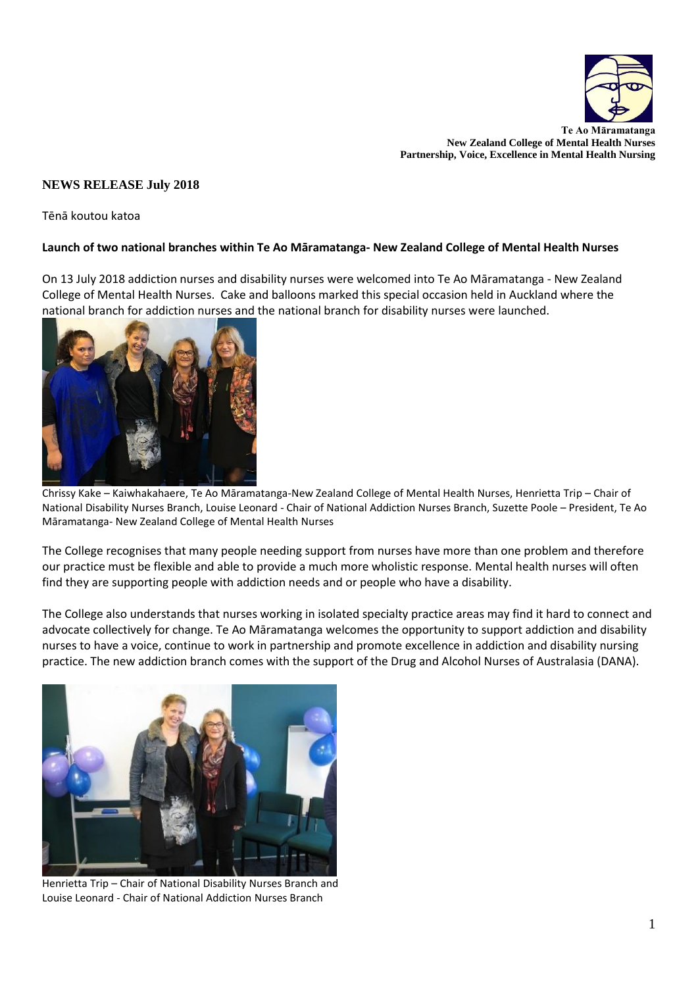

**Te Ao Māramatanga New Zealand College of Mental Health Nurses Partnership, Voice, Excellence in Mental Health Nursing**

## **NEWS RELEASE July 2018**

Tēnā koutou katoa

## **Launch of two national branches within Te Ao Māramatanga- New Zealand College of Mental Health Nurses**

On 13 July 2018 addiction nurses and disability nurses were welcomed into Te Ao Māramatanga - New Zealand College of Mental Health Nurses. Cake and balloons marked this special occasion held in Auckland where the national branch for addiction nurses and the national branch for disability nurses were launched.



Chrissy Kake – Kaiwhakahaere, Te Ao Māramatanga-New Zealand College of Mental Health Nurses, Henrietta Trip – Chair of National Disability Nurses Branch, Louise Leonard - Chair of National Addiction Nurses Branch, Suzette Poole – President, Te Ao Māramatanga- New Zealand College of Mental Health Nurses

The College recognises that many people needing support from nurses have more than one problem and therefore our practice must be flexible and able to provide a much more wholistic response. Mental health nurses will often find they are supporting people with addiction needs and or people who have a disability.

The College also understands that nurses working in isolated specialty practice areas may find it hard to connect and advocate collectively for change. Te Ao Māramatanga welcomes the opportunity to support addiction and disability nurses to have a voice, continue to work in partnership and promote excellence in addiction and disability nursing practice. The new addiction branch comes with the support of the Drug and Alcohol Nurses of Australasia (DANA).



Henrietta Trip – Chair of National Disability Nurses Branch and Louise Leonard - Chair of National Addiction Nurses Branch